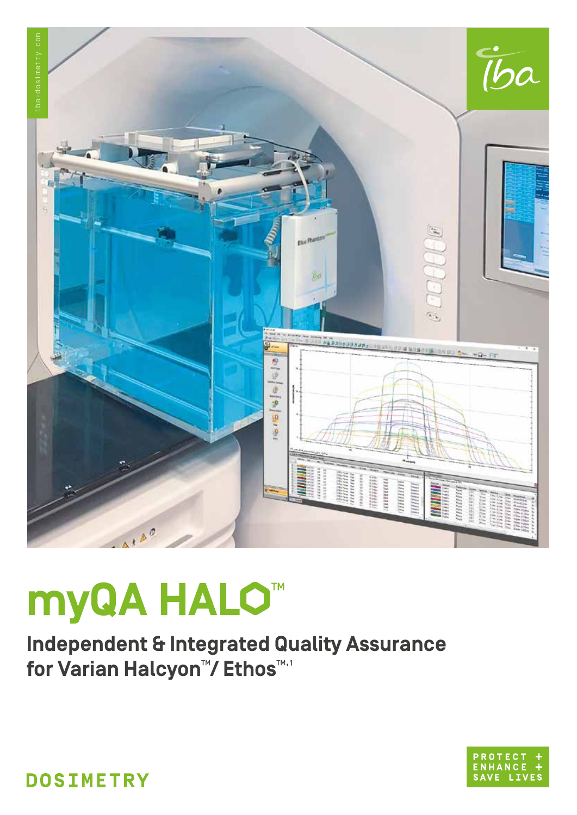

# myQA HALO<sup>™</sup>

**Independent & Integrated Quality Assurance** for Varian Halcyon<sup>™</sup>/ Ethos™



**DOSIMETRY**